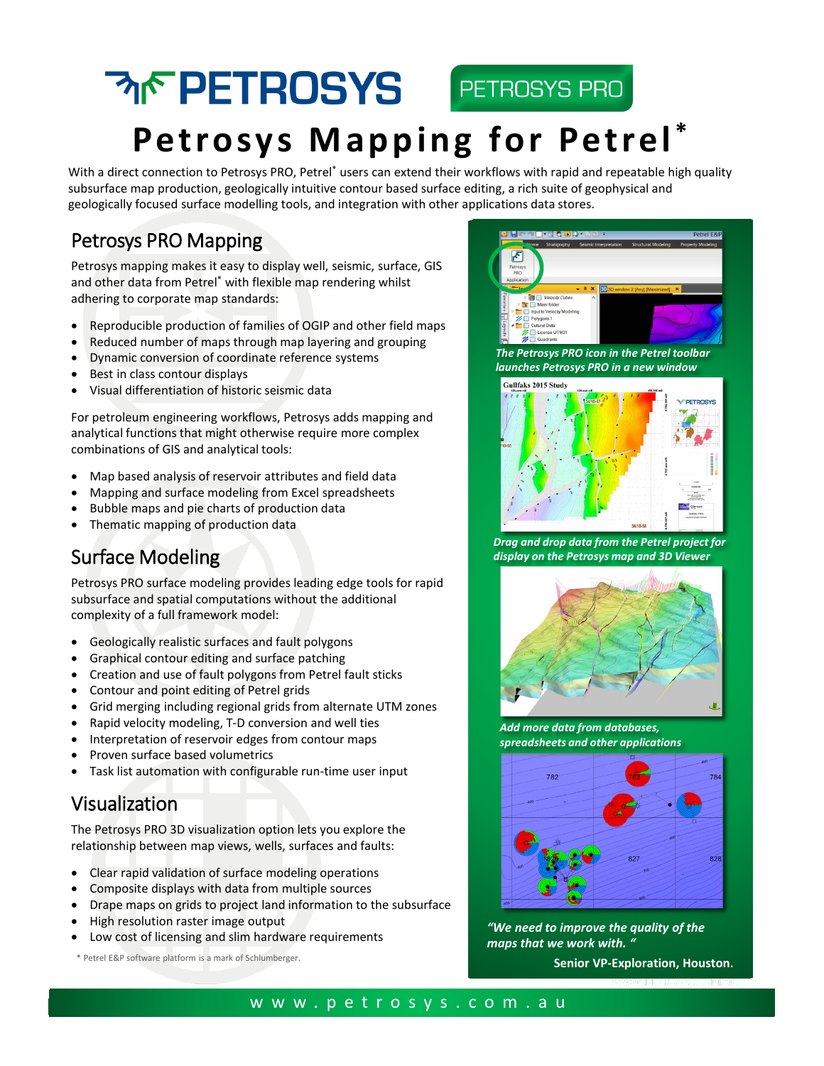# **MF PETROSYS** PETROSYS PRO Petrosys Mapping for Petrel\*

With a direct connection to Petrosys PRO, Petrel\* users can extend their workflows with rapid and repeatable high quality subsurface map production, geologically intuitive contour based surface editing, a rich suite of geophysical and geologically focused surface modelling tools, and integration with other applications data stores.

### Petrosys PRO Mapping

Petrosys mapping makes it easy to display well, seismic, surface, GIS and other data from Petrel\* with flexible map rendering whilst adhering to corporate map standards:

- Reproducible production of families of OGIP and other field maps
- Reduced number of maps through map layering and grouping
- Dynamic conversion of coordinate reference systems
- Best in class contour displays
- Visual differentiation of historic seismic data

For petroleum engineering workflows, Petrosys adds mapping and analytical functions that might otherwise require more complex combinations of GIS and analytical tools:

- Map based analysis of reservoir attributes and field data
- Mapping and surface modeling from Excel spreadsheets
- Bubble maps and pie charts of production data
- Thematic mapping of production data

## Surface Modeling

Petrosys PRO surface modeling provides leading edge tools for rapid subsurface and spatial computations without the additional complexity of a full framework model:

- Geologically realistic surfaces and fault polygons
- Graphical contour editing and surface patching
- Creation and use of fault polygons from Petrel fault sticks
- Contour and point editing of Petrel grids
- Grid merging including regional grids from alternate UTM zones
- Rapid velocity modeling, T-D conversion and well ties
- Interpretation of reservoir edges from contour maps
- Proven surface based volumetrics
- Task list automation with configurable run-time user input

#### Visualization

The Petrosys PRO 3D visualization option lets you explore the relationship between map views, wells, surfaces and faults:

- Clear rapid validation of surface modeling operations
- Composite displays with data from multiple sources
- Drape maps on grids to project land information to the subsurface
- High resolution raster image output
- Low cost of licensing and slim hardware requirements

\* Petrel E&P software platform is a mark of Schlumberger.



*The Petrosys PRO icon in the Petrel toolbar launches Petrosys PRO in a new window*



*Drag and drop data from the Petrel project for display on the Petrosys map and 3D Viewer*



*Add more data from databases, spreadsheets and other applications*



*"We need to improve the quality of the maps that we work with. "*

**Senior VP-Exploration, Houston.**